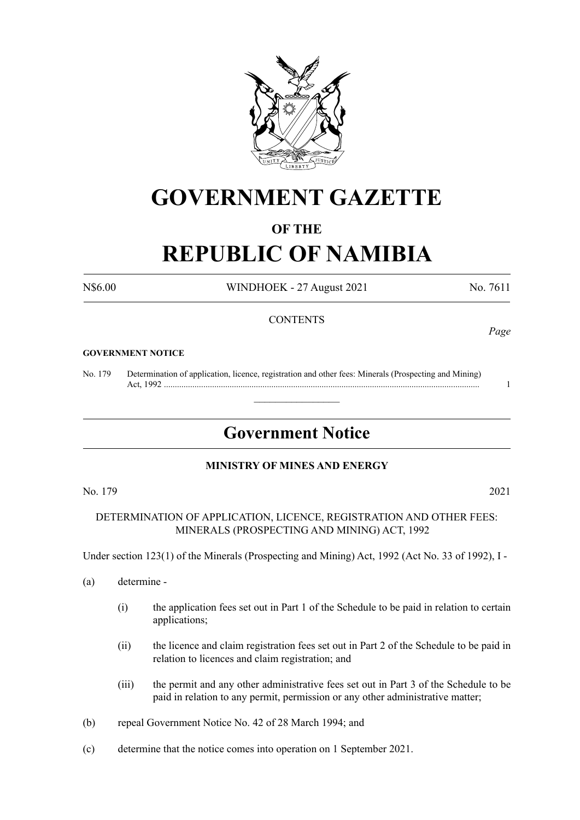

# **GOVERNMENT GAZETTE**

# **OF THE**

# **REPUBLIC OF NAMIBIA**

N\$6.00 WINDHOEK - 27 August 2021 No. 7611

# **CONTENTS**

#### **GOVERNMENT NOTICE**

No. 179 Determination of application, licence, registration and other fees: Minerals (Prospecting and Mining) Act, 1992 ................................................................................................................................................ 1

# **Government Notice**

 $\overline{\phantom{a}}$  , where  $\overline{\phantom{a}}$ 

### **MINISTRY OF MINES AND ENERGY**

No. 179 2021

DETERMINATION OF APPLICATION, LICENCE, REGISTRATION AND OTHER FEES: MINERALS (PROSPECTING AND MINING) ACT, 1992

Under section 123(1) of the Minerals (Prospecting and Mining) Act, 1992 (Act No. 33 of 1992), I -

- (a) determine
	- (i) the application fees set out in Part 1 of the Schedule to be paid in relation to certain applications;
	- (ii) the licence and claim registration fees set out in Part 2 of the Schedule to be paid in relation to licences and claim registration; and
	- (iii) the permit and any other administrative fees set out in Part 3 of the Schedule to be paid in relation to any permit, permission or any other administrative matter;
- (b) repeal Government Notice No. 42 of 28 March 1994; and
- (c) determine that the notice comes into operation on 1 September 2021.

*Page*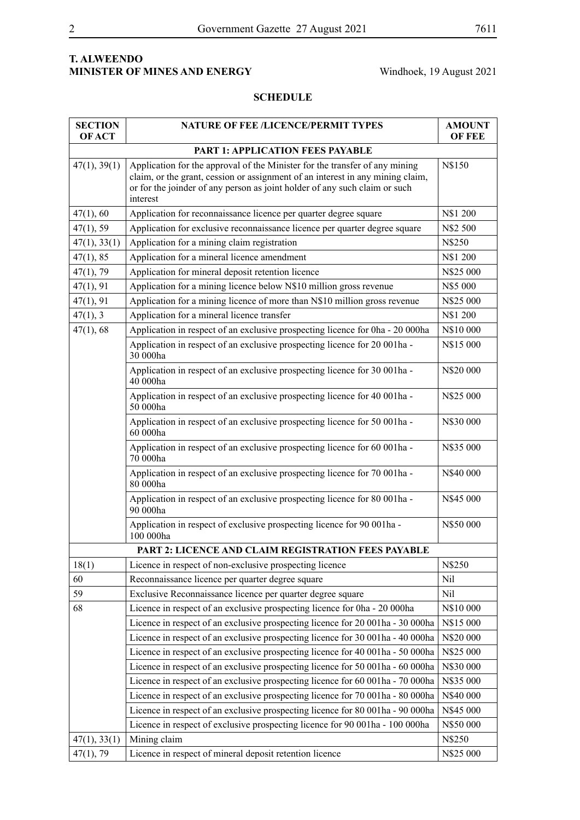# **T. ALWEENDO MINISTER OF MINES AND ENERGY** Windhoek, 19 August 2021

# **SCHEDULE**

| <b>SECTION</b><br><b>OF ACT</b>                     | <b>NATURE OF FEE /LICENCE/PERMIT TYPES</b>                                                                                                                                                                                                              | <b>AMOUNT</b><br><b>OF FEE</b> |  |
|-----------------------------------------------------|---------------------------------------------------------------------------------------------------------------------------------------------------------------------------------------------------------------------------------------------------------|--------------------------------|--|
|                                                     | <b>PART 1: APPLICATION FEES PAYABLE</b>                                                                                                                                                                                                                 |                                |  |
| 47(1), 39(1)                                        | Application for the approval of the Minister for the transfer of any mining<br>claim, or the grant, cession or assignment of an interest in any mining claim,<br>or for the joinder of any person as joint holder of any such claim or such<br>interest | N\$150                         |  |
| 47(1), 60                                           | Application for reconnaissance licence per quarter degree square                                                                                                                                                                                        | N\$1 200                       |  |
| 47(1), 59                                           | Application for exclusive reconnaissance licence per quarter degree square                                                                                                                                                                              | N\$2 500                       |  |
| 47(1), 33(1)                                        | Application for a mining claim registration                                                                                                                                                                                                             | N\$250                         |  |
| 47(1), 85                                           | Application for a mineral licence amendment                                                                                                                                                                                                             | N\$1 200                       |  |
| 47(1), 79                                           | Application for mineral deposit retention licence                                                                                                                                                                                                       | N\$25 000                      |  |
| 47(1), 91                                           | Application for a mining licence below N\$10 million gross revenue                                                                                                                                                                                      | N\$5 000                       |  |
| 47(1), 91                                           | Application for a mining licence of more than N\$10 million gross revenue                                                                                                                                                                               | N\$25 000                      |  |
| 47(1), 3                                            | Application for a mineral licence transfer                                                                                                                                                                                                              | N\$1 200                       |  |
| 47(1), 68                                           | Application in respect of an exclusive prospecting licence for 0ha - 20 000ha                                                                                                                                                                           | N\$10 000                      |  |
|                                                     | Application in respect of an exclusive prospecting licence for 20 001ha -<br>30 000ha                                                                                                                                                                   | N\$15 000                      |  |
|                                                     | Application in respect of an exclusive prospecting licence for 30 001ha -<br>40 000ha                                                                                                                                                                   | N\$20 000                      |  |
|                                                     | Application in respect of an exclusive prospecting licence for 40 001ha -<br>50 000ha                                                                                                                                                                   | N\$25 000                      |  |
|                                                     | Application in respect of an exclusive prospecting licence for 50 001ha -<br>60 000ha                                                                                                                                                                   | N\$30 000                      |  |
|                                                     | Application in respect of an exclusive prospecting licence for 60 001ha -<br>70 000ha                                                                                                                                                                   | N\$35 000                      |  |
|                                                     | Application in respect of an exclusive prospecting licence for 70 001ha -<br>80 000ha                                                                                                                                                                   | N\$40 000                      |  |
|                                                     | Application in respect of an exclusive prospecting licence for 80 001ha -<br>90 000ha                                                                                                                                                                   | N\$45 000                      |  |
|                                                     | Application in respect of exclusive prospecting licence for 90 001ha -<br>100 000ha                                                                                                                                                                     | N\$50 000                      |  |
| PART 2: LICENCE AND CLAIM REGISTRATION FEES PAYABLE |                                                                                                                                                                                                                                                         |                                |  |
| 18(1)                                               | Licence in respect of non-exclusive prospecting licence                                                                                                                                                                                                 | N\$250                         |  |
| 60                                                  | Reconnaissance licence per quarter degree square                                                                                                                                                                                                        | Nil                            |  |
| 59                                                  | Exclusive Reconnaissance licence per quarter degree square                                                                                                                                                                                              | Nil                            |  |
| 68                                                  | Licence in respect of an exclusive prospecting licence for 0ha - 20 000ha                                                                                                                                                                               | N\$10 000                      |  |
|                                                     | Licence in respect of an exclusive prospecting licence for 20 001ha - 30 000ha                                                                                                                                                                          | N\$15 000                      |  |
|                                                     | Licence in respect of an exclusive prospecting licence for 30 001ha - 40 000ha                                                                                                                                                                          | N\$20 000                      |  |
|                                                     | Licence in respect of an exclusive prospecting licence for 40 001ha - 50 000ha                                                                                                                                                                          | N\$25 000                      |  |
|                                                     | Licence in respect of an exclusive prospecting licence for 50 001ha - 60 000ha                                                                                                                                                                          | N\$30 000                      |  |
|                                                     | Licence in respect of an exclusive prospecting licence for 60 001ha - 70 000ha                                                                                                                                                                          | N\$35 000                      |  |
|                                                     | Licence in respect of an exclusive prospecting licence for 70 001ha - 80 000ha                                                                                                                                                                          | N\$40 000                      |  |
|                                                     | Licence in respect of an exclusive prospecting licence for 80 001ha - 90 000ha                                                                                                                                                                          | N\$45 000                      |  |
|                                                     | Licence in respect of exclusive prospecting licence for 90 001ha - 100 000ha                                                                                                                                                                            | N\$50 000                      |  |
| 47(1), 33(1)                                        | Mining claim                                                                                                                                                                                                                                            | N\$250                         |  |
| 47(1), 79                                           | Licence in respect of mineral deposit retention licence                                                                                                                                                                                                 | N\$25 000                      |  |